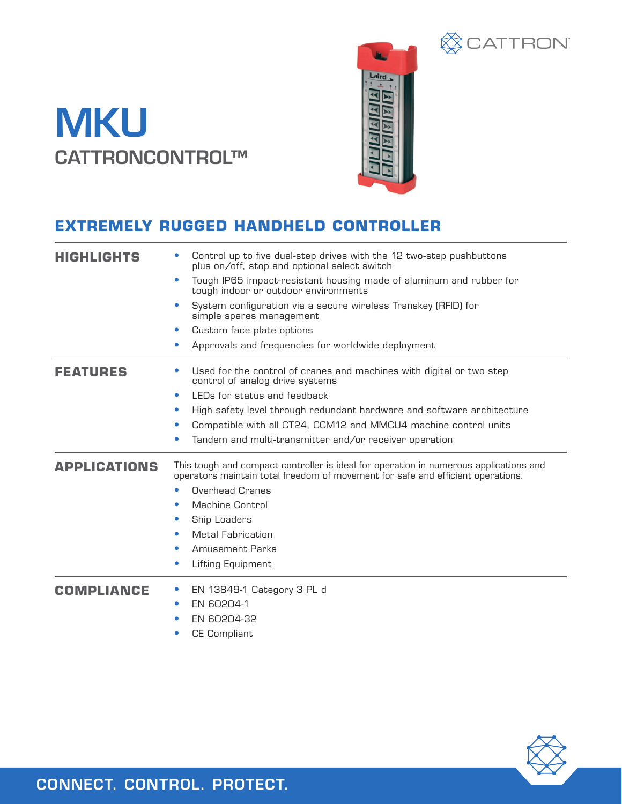## **MKU** CATTRONCONTROL™



**ECATTRON** 



| <b>HIGHLIGHTS</b>   | Control up to five dual-step drives with the 12 two-step pushbuttons<br>plus on/off, stop and optional select switch                                                     |
|---------------------|--------------------------------------------------------------------------------------------------------------------------------------------------------------------------|
|                     | Tough IP65 impact-resistant housing made of aluminum and rubber for<br>$\bullet$<br>tough indoor or outdoor environments                                                 |
|                     | System configuration via a secure wireless Transkey (RFID) for<br>simple spares management                                                                               |
|                     | Custom face plate options<br>$\bullet$                                                                                                                                   |
|                     | Approvals and frequencies for worldwide deployment<br>$\bullet$                                                                                                          |
| FEATURES            | Used for the control of cranes and machines with digital or two step<br>$\bullet$<br>control of analog drive systems                                                     |
|                     | LEDs for status and feedback<br>$\bullet$                                                                                                                                |
|                     | High safety level through redundant hardware and software architecture<br>$\bullet$                                                                                      |
|                     | Compatible with all CT24, CCM12 and MMCU4 machine control units<br>$\bullet$                                                                                             |
|                     | Tandem and multi-transmitter and/or receiver operation<br>$\bullet$                                                                                                      |
| <b>APPLICATIONS</b> | This tough and compact controller is ideal for operation in numerous applications and<br>operators maintain total freedom of movement for safe and efficient operations. |
|                     | Overhead Cranes<br>$\bullet$                                                                                                                                             |
|                     | Machine Control                                                                                                                                                          |
|                     | Ship Loaders<br>$\bullet$                                                                                                                                                |
|                     | <b>Metal Fabrication</b><br>$\bullet$                                                                                                                                    |
|                     | <b>Amusement Parks</b><br>$\bullet$                                                                                                                                      |
|                     | Lifting Equipment<br>$\bullet$                                                                                                                                           |
| <b>COMPLIANCE</b>   | EN 13849-1 Category 3 PL d                                                                                                                                               |
|                     | EN 60204-1                                                                                                                                                               |
|                     | EN 60204-32                                                                                                                                                              |
|                     | <b>CE Compliant</b><br>$\bullet$                                                                                                                                         |



CONNECT. CONTROL. PROTECT.